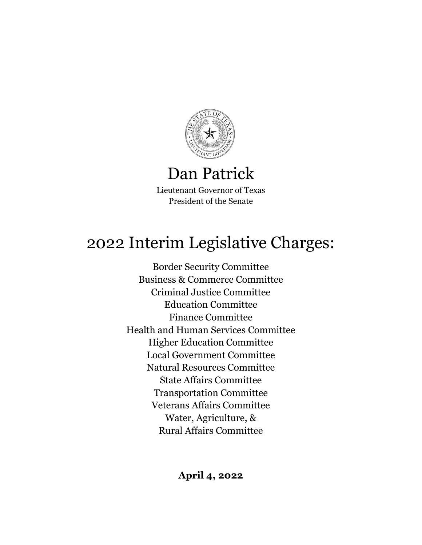

## Dan Patrick

Lieutenant Governor of Texas President of the Senate

# 2022 Interim Legislative Charges:

Border Security Committee Business & Commerce Committee Criminal Justice Committee Education Committee Finance Committee Health and Human Services Committee Higher Education Committee Local Government Committee Natural Resources Committee State Affairs Committee Transportation Committee Veterans Affairs Committee Water, Agriculture, & Rural Affairs Committee

### **April 4, 2022**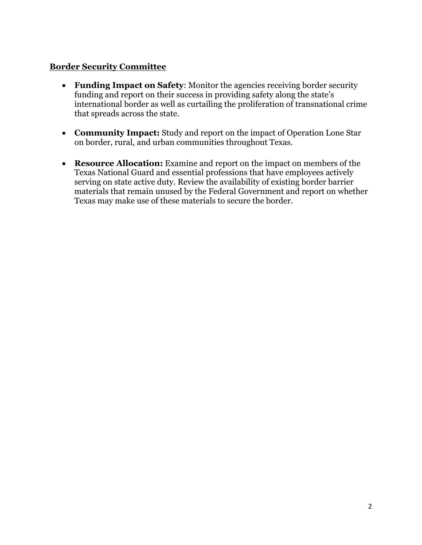#### **Border Security Committee**

- **Funding Impact on Safety**: Monitor the agencies receiving border security funding and report on their success in providing safety along the state's international border as well as curtailing the proliferation of transnational crime that spreads across the state.
- **Community Impact:** Study and report on the impact of Operation Lone Star on border, rural, and urban communities throughout Texas.
- **Resource Allocation:** Examine and report on the impact on members of the Texas National Guard and essential professions that have employees actively serving on state active duty. Review the availability of existing border barrier materials that remain unused by the Federal Government and report on whether Texas may make use of these materials to secure the border.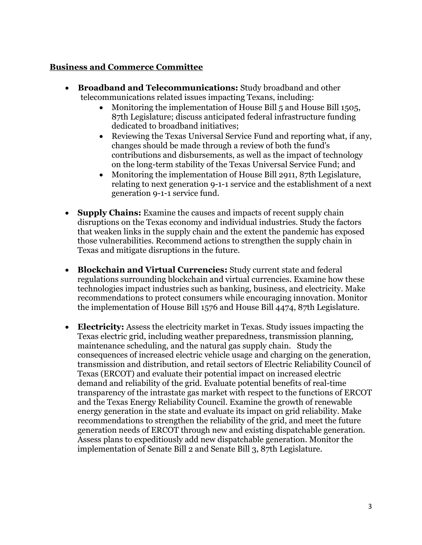#### **Business and Commerce Committee**

- **Broadband and Telecommunications:** Study broadband and other telecommunications related issues impacting Texans, including:
	- Monitoring the implementation of House Bill 5 and House Bill 1505, 87th Legislature; discuss anticipated federal infrastructure funding dedicated to broadband initiatives;
	- Reviewing the Texas Universal Service Fund and reporting what, if any, changes should be made through a review of both the fund's contributions and disbursements, as well as the impact of technology on the long-term stability of the Texas Universal Service Fund; and
	- Monitoring the implementation of House Bill 2911, 87th Legislature, relating to next generation 9-1-1 service and the establishment of a next generation 9-1-1 service fund.
- **Supply Chains:** Examine the causes and impacts of recent supply chain disruptions on the Texas economy and individual industries. Study the factors that weaken links in the supply chain and the extent the pandemic has exposed those vulnerabilities. Recommend actions to strengthen the supply chain in Texas and mitigate disruptions in the future.
- **Blockchain and Virtual Currencies:** Study current state and federal regulations surrounding blockchain and virtual currencies. Examine how these technologies impact industries such as banking, business, and electricity. Make recommendations to protect consumers while encouraging innovation. Monitor the implementation of House Bill 1576 and House Bill 4474, 87th Legislature.
- **Electricity:** Assess the electricity market in Texas. Study issues impacting the Texas electric grid, including weather preparedness, transmission planning, maintenance scheduling, and the natural gas supply chain. Study the consequences of increased electric vehicle usage and charging on the generation, transmission and distribution, and retail sectors of Electric Reliability Council of Texas (ERCOT) and evaluate their potential impact on increased electric demand and reliability of the grid. Evaluate potential benefits of real-time transparency of the intrastate gas market with respect to the functions of ERCOT and the Texas Energy Reliability Council. Examine the growth of renewable energy generation in the state and evaluate its impact on grid reliability. Make recommendations to strengthen the reliability of the grid, and meet the future generation needs of ERCOT through new and existing dispatchable generation. Assess plans to expeditiously add new dispatchable generation. Monitor the implementation of Senate Bill 2 and Senate Bill 3, 87th Legislature.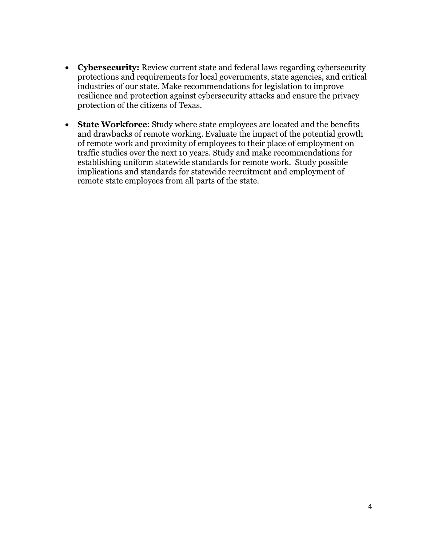- **Cybersecurity:** Review current state and federal laws regarding cybersecurity protections and requirements for local governments, state agencies, and critical industries of our state. Make recommendations for legislation to improve resilience and protection against cybersecurity attacks and ensure the privacy protection of the citizens of Texas.
- **State Workforce**: Study where state employees are located and the benefits and drawbacks of remote working. Evaluate the impact of the potential growth of remote work and proximity of employees to their place of employment on traffic studies over the next 10 years. Study and make recommendations for establishing uniform statewide standards for remote work. Study possible implications and standards for statewide recruitment and employment of remote state employees from all parts of the state.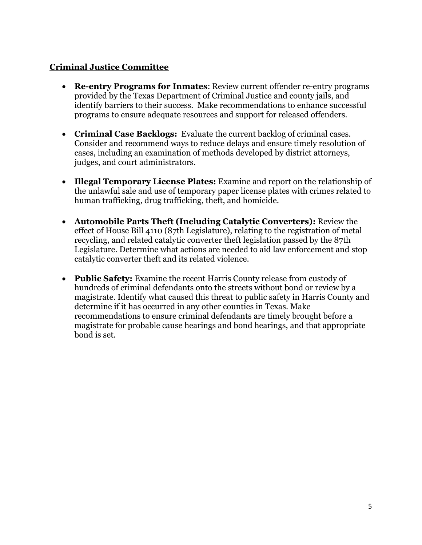#### **Criminal Justice Committee**

- **Re-entry Programs for Inmates**: Review current offender re-entry programs provided by the Texas Department of Criminal Justice and county jails, and identify barriers to their success. Make recommendations to enhance successful programs to ensure adequate resources and support for released offenders.
- **Criminal Case Backlogs:** Evaluate the current backlog of criminal cases. Consider and recommend ways to reduce delays and ensure timely resolution of cases, including an examination of methods developed by district attorneys, judges, and court administrators.
- **Illegal Temporary License Plates:** Examine and report on the relationship of the unlawful sale and use of temporary paper license plates with crimes related to human trafficking, drug trafficking, theft, and homicide.
- **Automobile Parts Theft (Including Catalytic Converters):** Review the effect of House Bill 4110 (87th Legislature), relating to the registration of metal recycling, and related catalytic converter theft legislation passed by the 87th Legislature. Determine what actions are needed to aid law enforcement and stop catalytic converter theft and its related violence.
- **Public Safety:** Examine the recent Harris County release from custody of hundreds of criminal defendants onto the streets without bond or review by a magistrate. Identify what caused this threat to public safety in Harris County and determine if it has occurred in any other counties in Texas. Make recommendations to ensure criminal defendants are timely brought before a magistrate for probable cause hearings and bond hearings, and that appropriate bond is set.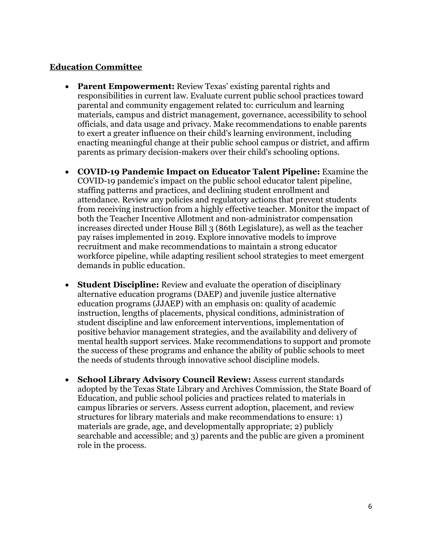#### **Education Committee**

- **Parent Empowerment:** Review Texas' existing parental rights and responsibilities in current law. Evaluate current public school practices toward parental and community engagement related to: curriculum and learning materials, campus and district management, governance, accessibility to school officials, and data usage and privacy. Make recommendations to enable parents to exert a greater influence on their child's learning environment, including enacting meaningful change at their public school campus or district, and affirm parents as primary decision-makers over their child's schooling options.
- **COVID-19 Pandemic Impact on Educator Talent Pipeline:** Examine the COVID-19 pandemic's impact on the public school educator talent pipeline, staffing patterns and practices, and declining student enrollment and attendance. Review any policies and regulatory actions that prevent students from receiving instruction from a highly effective teacher. Monitor the impact of both the Teacher Incentive Allotment and non-administrator compensation increases directed under House Bill 3 (86th Legislature), as well as the teacher pay raises implemented in 2019. Explore innovative models to improve recruitment and make recommendations to maintain a strong educator workforce pipeline, while adapting resilient school strategies to meet emergent demands in public education.
- **Student Discipline:** Review and evaluate the operation of disciplinary alternative education programs (DAEP) and juvenile justice alternative education programs (JJAEP) with an emphasis on: quality of academic instruction, lengths of placements, physical conditions, administration of student discipline and law enforcement interventions, implementation of positive behavior management strategies, and the availability and delivery of mental health support services. Make recommendations to support and promote the success of these programs and enhance the ability of public schools to meet the needs of students through innovative school discipline models.
- **School Library Advisory Council Review:** Assess current standards adopted by the Texas State Library and Archives Commission, the State Board of Education, and public school policies and practices related to materials in campus libraries or servers. Assess current adoption, placement, and review structures for library materials and make recommendations to ensure: 1) materials are grade, age, and developmentally appropriate; 2) publicly searchable and accessible; and 3) parents and the public are given a prominent role in the process.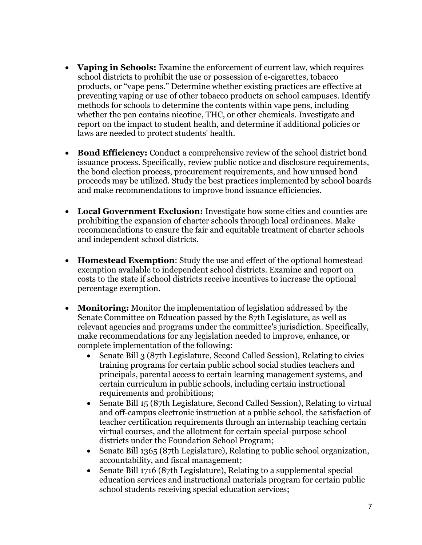- **Vaping in Schools:** Examine the enforcement of current law, which requires school districts to prohibit the use or possession of e-cigarettes, tobacco products, or "vape pens." Determine whether existing practices are effective at preventing vaping or use of other tobacco products on school campuses. Identify methods for schools to determine the contents within vape pens, including whether the pen contains nicotine, THC, or other chemicals. Investigate and report on the impact to student health, and determine if additional policies or laws are needed to protect students' health.
- **Bond Efficiency:** Conduct a comprehensive review of the school district bond issuance process. Specifically, review public notice and disclosure requirements, the bond election process, procurement requirements, and how unused bond proceeds may be utilized. Study the best practices implemented by school boards and make recommendations to improve bond issuance efficiencies.
- **Local Government Exclusion:** Investigate how some cities and counties are prohibiting the expansion of charter schools through local ordinances. Make recommendations to ensure the fair and equitable treatment of charter schools and independent school districts.
- **Homestead Exemption**: Study the use and effect of the optional homestead exemption available to independent school districts. Examine and report on costs to the state if school districts receive incentives to increase the optional percentage exemption.
- **Monitoring:** Monitor the implementation of legislation addressed by the Senate Committee on Education passed by the 87th Legislature, as well as relevant agencies and programs under the committee's jurisdiction. Specifically, make recommendations for any legislation needed to improve, enhance, or complete implementation of the following:
	- Senate Bill 3 (87th Legislature, Second Called Session), Relating to civics training programs for certain public school social studies teachers and principals, parental access to certain learning management systems, and certain curriculum in public schools, including certain instructional requirements and prohibitions;
	- Senate Bill 15 (87th Legislature, Second Called Session), Relating to virtual and off-campus electronic instruction at a public school, the satisfaction of teacher certification requirements through an internship teaching certain virtual courses, and the allotment for certain special-purpose school districts under the Foundation School Program;
	- Senate Bill 1365 (87th Legislature), Relating to public school organization, accountability, and fiscal management;
	- Senate Bill 1716 (87th Legislature), Relating to a supplemental special education services and instructional materials program for certain public school students receiving special education services;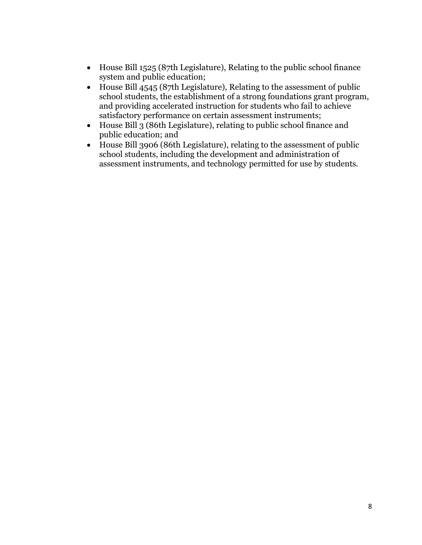- House Bill 1525 (87th Legislature), Relating to the public school finance system and public education;
- House Bill 4545 (87th Legislature), Relating to the assessment of public school students, the establishment of a strong foundations grant program, and providing accelerated instruction for students who fail to achieve satisfactory performance on certain assessment instruments;
- House Bill 3 (86th Legislature), relating to public school finance and public education; and
- House Bill 3906 (86th Legislature), relating to the assessment of public school students, including the development and administration of assessment instruments, and technology permitted for use by students.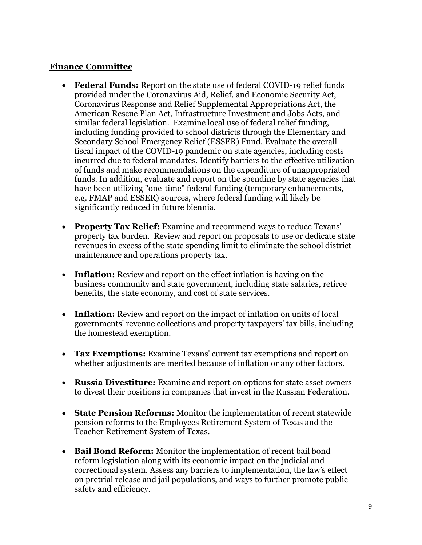#### **Finance Committee**

- **Federal Funds:** Report on the state use of federal COVID-19 relief funds provided under the Coronavirus Aid, Relief, and Economic Security Act, Coronavirus Response and Relief Supplemental Appropriations Act, the American Rescue Plan Act, Infrastructure Investment and Jobs Acts, and similar federal legislation. Examine local use of federal relief funding, including funding provided to school districts through the Elementary and Secondary School Emergency Relief (ESSER) Fund. Evaluate the overall fiscal impact of the COVID-19 pandemic on state agencies, including costs incurred due to federal mandates. Identify barriers to the effective utilization of funds and make recommendations on the expenditure of unappropriated funds. In addition, evaluate and report on the spending by state agencies that have been utilizing "one-time" federal funding (temporary enhancements, e.g. FMAP and ESSER) sources, where federal funding will likely be significantly reduced in future biennia.
- **Property Tax Relief:** Examine and recommend ways to reduce Texans' property tax burden. Review and report on proposals to use or dedicate state revenues in excess of the state spending limit to eliminate the school district maintenance and operations property tax.
- **Inflation:** Review and report on the effect inflation is having on the business community and state government, including state salaries, retiree benefits, the state economy, and cost of state services.
- **Inflation:** Review and report on the impact of inflation on units of local governments' revenue collections and property taxpayers' tax bills, including the homestead exemption.
- **Tax Exemptions:** Examine Texans' current tax exemptions and report on whether adjustments are merited because of inflation or any other factors.
- **Russia Divestiture:** Examine and report on options for state asset owners to divest their positions in companies that invest in the Russian Federation.
- **State Pension Reforms:** Monitor the implementation of recent statewide pension reforms to the Employees Retirement System of Texas and the Teacher Retirement System of Texas.
- **Bail Bond Reform:** Monitor the implementation of recent bail bond reform legislation along with its economic impact on the judicial and correctional system. Assess any barriers to implementation, the law's effect on pretrial release and jail populations, and ways to further promote public safety and efficiency.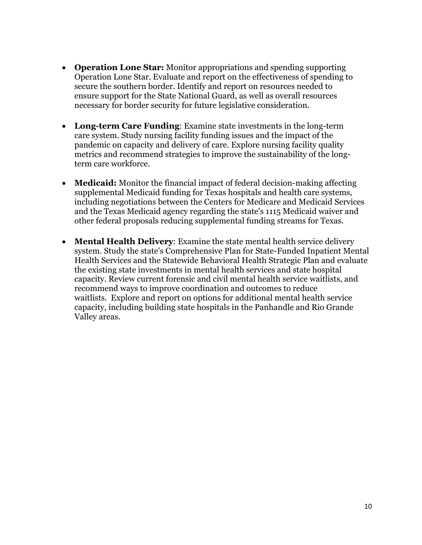- **Operation Lone Star:** Monitor appropriations and spending supporting Operation Lone Star. Evaluate and report on the effectiveness of spending to secure the southern border. Identify and report on resources needed to ensure support for the State National Guard, as well as overall resources necessary for border security for future legislative consideration.
- **Long-term Care Funding**: Examine state investments in the long-term care system. Study nursing facility funding issues and the impact of the pandemic on capacity and delivery of care. Explore nursing facility quality metrics and recommend strategies to improve the sustainability of the longterm care workforce.
- **Medicaid:** Monitor the financial impact of federal decision-making affecting supplemental Medicaid funding for Texas hospitals and health care systems, including negotiations between the Centers for Medicare and Medicaid Services and the Texas Medicaid agency regarding the state's 1115 Medicaid waiver and other federal proposals reducing supplemental funding streams for Texas.
- **Mental Health Delivery**: Examine the state mental health service delivery system. Study the state's Comprehensive Plan for State-Funded Inpatient Mental Health Services and the Statewide Behavioral Health Strategic Plan and evaluate the existing state investments in mental health services and state hospital capacity. Review current forensic and civil mental health service waitlists, and recommend ways to improve coordination and outcomes to reduce waitlists. Explore and report on options for additional mental health service capacity, including building state hospitals in the Panhandle and Rio Grande Valley areas.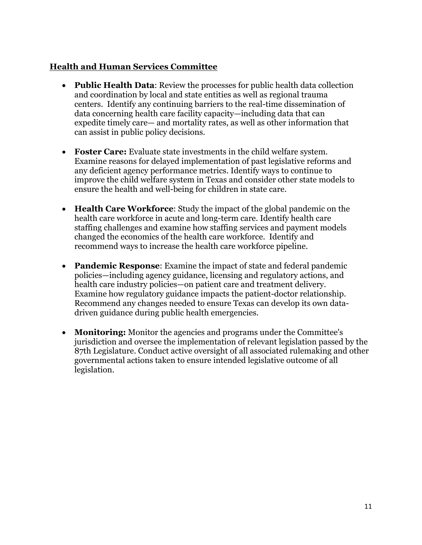#### **Health and Human Services Committee**

- **Public Health Data**: Review the processes for public health data collection and coordination by local and state entities as well as regional trauma centers. Identify any continuing barriers to the real-time dissemination of data concerning health care facility capacity—including data that can expedite timely care— and mortality rates, as well as other information that can assist in public policy decisions.
- **Foster Care:** Evaluate state investments in the child welfare system. Examine reasons for delayed implementation of past legislative reforms and any deficient agency performance metrics. Identify ways to continue to improve the child welfare system in Texas and consider other state models to ensure the health and well-being for children in state care.
- **Health Care Workforce**: Study the impact of the global pandemic on the health care workforce in acute and long-term care. Identify health care staffing challenges and examine how staffing services and payment models changed the economics of the health care workforce. Identify and recommend ways to increase the health care workforce pipeline.
- **Pandemic Response**: Examine the impact of state and federal pandemic policies—including agency guidance, licensing and regulatory actions, and health care industry policies—on patient care and treatment delivery. Examine how regulatory guidance impacts the patient-doctor relationship. Recommend any changes needed to ensure Texas can develop its own datadriven guidance during public health emergencies.
- **Monitoring:** Monitor the agencies and programs under the Committee's jurisdiction and oversee the implementation of relevant legislation passed by the 87th Legislature. Conduct active oversight of all associated rulemaking and other governmental actions taken to ensure intended legislative outcome of all legislation.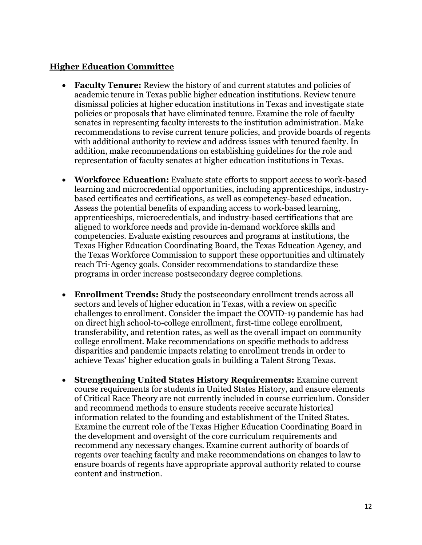#### **Higher Education Committee**

- **Faculty Tenure:** Review the history of and current statutes and policies of academic tenure in Texas public higher education institutions. Review tenure dismissal policies at higher education institutions in Texas and investigate state policies or proposals that have eliminated tenure. Examine the role of faculty senates in representing faculty interests to the institution administration. Make recommendations to revise current tenure policies, and provide boards of regents with additional authority to review and address issues with tenured faculty. In addition, make recommendations on establishing guidelines for the role and representation of faculty senates at higher education institutions in Texas.
- **Workforce Education:** Evaluate state efforts to support access to work-based learning and microcredential opportunities, including apprenticeships, industrybased certificates and certifications, as well as competency-based education. Assess the potential benefits of expanding access to work-based learning, apprenticeships, microcredentials, and industry-based certifications that are aligned to workforce needs and provide in-demand workforce skills and competencies. Evaluate existing resources and programs at institutions, the Texas Higher Education Coordinating Board, the Texas Education Agency, and the Texas Workforce Commission to support these opportunities and ultimately reach Tri-Agency goals. Consider recommendations to standardize these programs in order increase postsecondary degree completions.
- **Enrollment Trends:** Study the postsecondary enrollment trends across all sectors and levels of higher education in Texas, with a review on specific challenges to enrollment. Consider the impact the COVID-19 pandemic has had on direct high school-to-college enrollment, first-time college enrollment, transferability, and retention rates, as well as the overall impact on community college enrollment. Make recommendations on specific methods to address disparities and pandemic impacts relating to enrollment trends in order to achieve Texas' higher education goals in building a Talent Strong Texas.
- **Strengthening United States History Requirements:** Examine current course requirements for students in United States History, and ensure elements of Critical Race Theory are not currently included in course curriculum. Consider and recommend methods to ensure students receive accurate historical information related to the founding and establishment of the United States. Examine the current role of the Texas Higher Education Coordinating Board in the development and oversight of the core curriculum requirements and recommend any necessary changes. Examine current authority of boards of regents over teaching faculty and make recommendations on changes to law to ensure boards of regents have appropriate approval authority related to course content and instruction.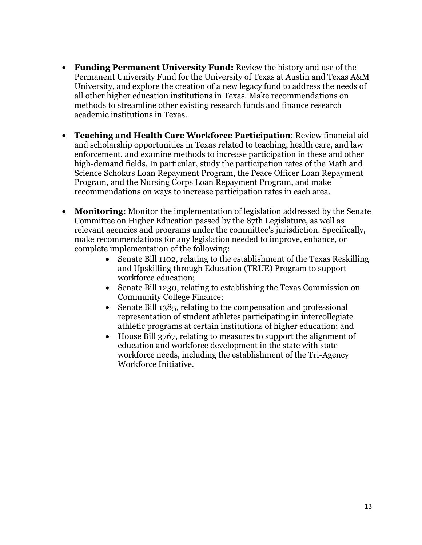- **Funding Permanent University Fund:** Review the history and use of the Permanent University Fund for the University of Texas at Austin and Texas A&M University, and explore the creation of a new legacy fund to address the needs of all other higher education institutions in Texas. Make recommendations on methods to streamline other existing research funds and finance research academic institutions in Texas.
- **Teaching and Health Care Workforce Participation**: Review financial aid and scholarship opportunities in Texas related to teaching, health care, and law enforcement, and examine methods to increase participation in these and other high-demand fields. In particular, study the participation rates of the Math and Science Scholars Loan Repayment Program, the Peace Officer Loan Repayment Program, and the Nursing Corps Loan Repayment Program, and make recommendations on ways to increase participation rates in each area.
- **Monitoring:** Monitor the implementation of legislation addressed by the Senate Committee on Higher Education passed by the 87th Legislature, as well as relevant agencies and programs under the committee's jurisdiction. Specifically, make recommendations for any legislation needed to improve, enhance, or complete implementation of the following:
	- Senate Bill 1102, relating to the establishment of the Texas Reskilling and Upskilling through Education (TRUE) Program to support workforce education;
	- Senate Bill 1230, relating to establishing the Texas Commission on Community College Finance;
	- Senate Bill 1385, relating to the compensation and professional representation of student athletes participating in intercollegiate athletic programs at certain institutions of higher education; and
	- House Bill 3767, relating to measures to support the alignment of education and workforce development in the state with state workforce needs, including the establishment of the Tri-Agency Workforce Initiative.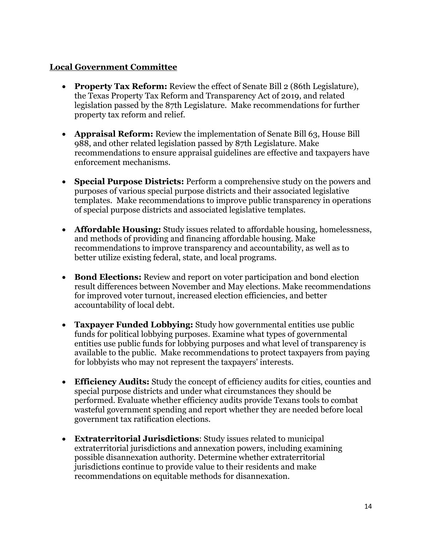#### **Local Government Committee**

- **Property Tax Reform:** Review the effect of Senate Bill 2 (86th Legislature), the Texas Property Tax Reform and Transparency Act of 2019, and related legislation passed by the 87th Legislature. Make recommendations for further property tax reform and relief.
- **Appraisal Reform:** Review the implementation of Senate Bill 63, House Bill 988, and other related legislation passed by 87th Legislature. Make recommendations to ensure appraisal guidelines are effective and taxpayers have enforcement mechanisms.
- **Special Purpose Districts:** Perform a comprehensive study on the powers and purposes of various special purpose districts and their associated legislative templates. Make recommendations to improve public transparency in operations of special purpose districts and associated legislative templates.
- **Affordable Housing:** Study issues related to affordable housing, homelessness, and methods of providing and financing affordable housing. Make recommendations to improve transparency and accountability, as well as to better utilize existing federal, state, and local programs.
- **Bond Elections:** Review and report on voter participation and bond election result differences between November and May elections. Make recommendations for improved voter turnout, increased election efficiencies, and better accountability of local debt.
- **Taxpayer Funded Lobbying:** Study how governmental entities use public funds for political lobbying purposes. Examine what types of governmental entities use public funds for lobbying purposes and what level of transparency is available to the public. Make recommendations to protect taxpayers from paying for lobbyists who may not represent the taxpayers' interests.
- **Efficiency Audits:** Study the concept of efficiency audits for cities, counties and special purpose districts and under what circumstances they should be performed. Evaluate whether efficiency audits provide Texans tools to combat wasteful government spending and report whether they are needed before local government tax ratification elections.
- **Extraterritorial Jurisdictions**: Study issues related to municipal extraterritorial jurisdictions and annexation powers, including examining possible disannexation authority. Determine whether extraterritorial jurisdictions continue to provide value to their residents and make recommendations on equitable methods for disannexation.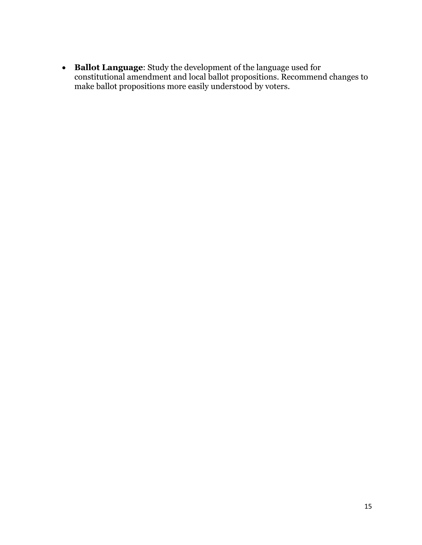**Ballot Language**: Study the development of the language used for constitutional amendment and local ballot propositions. Recommend changes to make ballot propositions more easily understood by voters.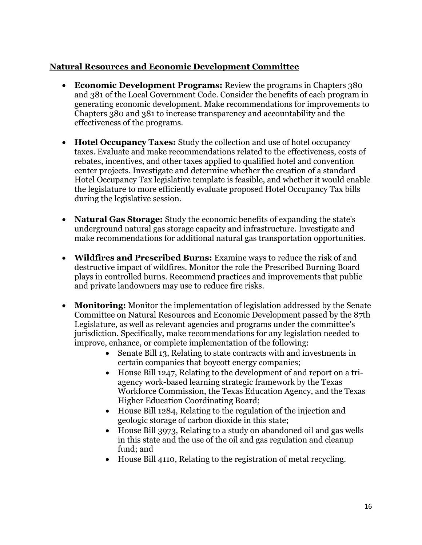#### **Natural Resources and Economic Development Committee**

- **Economic Development Programs:** Review the programs in Chapters 380 and 381 of the Local Government Code. Consider the benefits of each program in generating economic development. Make recommendations for improvements to Chapters 380 and 381 to increase transparency and accountability and the effectiveness of the programs.
- **Hotel Occupancy Taxes:** Study the collection and use of hotel occupancy taxes. Evaluate and make recommendations related to the effectiveness, costs of rebates, incentives, and other taxes applied to qualified hotel and convention center projects. Investigate and determine whether the creation of a standard Hotel Occupancy Tax legislative template is feasible, and whether it would enable the legislature to more efficiently evaluate proposed Hotel Occupancy Tax bills during the legislative session.
- **Natural Gas Storage:** Study the economic benefits of expanding the state's underground natural gas storage capacity and infrastructure. Investigate and make recommendations for additional natural gas transportation opportunities.
- **Wildfires and Prescribed Burns:** Examine ways to reduce the risk of and destructive impact of wildfires. Monitor the role the Prescribed Burning Board plays in controlled burns. Recommend practices and improvements that public and private landowners may use to reduce fire risks.
- **Monitoring:** Monitor the implementation of legislation addressed by the Senate Committee on Natural Resources and Economic Development passed by the 87th Legislature, as well as relevant agencies and programs under the committee's jurisdiction. Specifically, make recommendations for any legislation needed to improve, enhance, or complete implementation of the following:
	- Senate Bill 13, Relating to state contracts with and investments in certain companies that boycott energy companies;
	- House Bill 1247, Relating to the development of and report on a triagency work-based learning strategic framework by the Texas Workforce Commission, the Texas Education Agency, and the Texas Higher Education Coordinating Board;
	- House Bill 1284, Relating to the regulation of the injection and geologic storage of carbon dioxide in this state;
	- House Bill 3973, Relating to a study on abandoned oil and gas wells in this state and the use of the oil and gas regulation and cleanup fund; and
	- House Bill 4110, Relating to the registration of metal recycling.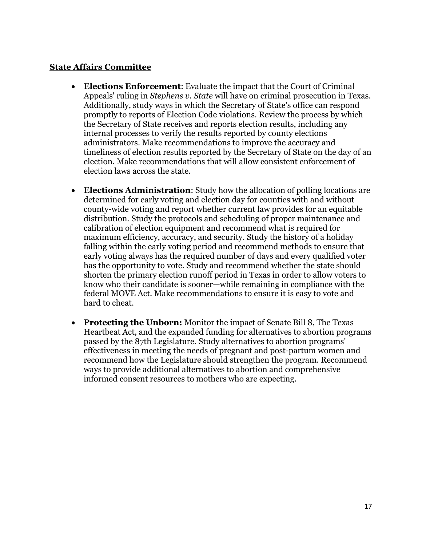#### **State Affairs Committee**

- **Elections Enforcement**: Evaluate the impact that the Court of Criminal Appeals' ruling in *Stephens v. State* will have on criminal prosecution in Texas. Additionally, study ways in which the Secretary of State's office can respond promptly to reports of Election Code violations. Review the process by which the Secretary of State receives and reports election results, including any internal processes to verify the results reported by county elections administrators. Make recommendations to improve the accuracy and timeliness of election results reported by the Secretary of State on the day of an election. Make recommendations that will allow consistent enforcement of election laws across the state.
- **Elections Administration**: Study how the allocation of polling locations are determined for early voting and election day for counties with and without county-wide voting and report whether current law provides for an equitable distribution. Study the protocols and scheduling of proper maintenance and calibration of election equipment and recommend what is required for maximum efficiency, accuracy, and security. Study the history of a holiday falling within the early voting period and recommend methods to ensure that early voting always has the required number of days and every qualified voter has the opportunity to vote. Study and recommend whether the state should shorten the primary election runoff period in Texas in order to allow voters to know who their candidate is sooner—while remaining in compliance with the federal MOVE Act. Make recommendations to ensure it is easy to vote and hard to cheat.
- **Protecting the Unborn:** Monitor the impact of Senate Bill 8, The Texas Heartbeat Act, and the expanded funding for alternatives to abortion programs passed by the 87th Legislature. Study alternatives to abortion programs' effectiveness in meeting the needs of pregnant and post-partum women and recommend how the Legislature should strengthen the program. Recommend ways to provide additional alternatives to abortion and comprehensive informed consent resources to mothers who are expecting.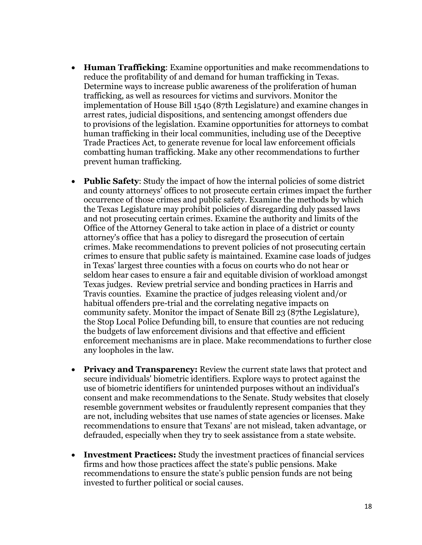- **Human Trafficking**: Examine opportunities and make recommendations to reduce the profitability of and demand for human trafficking in Texas. Determine ways to increase public awareness of the proliferation of human trafficking, as well as resources for victims and survivors. Monitor the implementation of House Bill 1540 (87th Legislature) and examine changes in arrest rates, judicial dispositions, and sentencing amongst offenders due to provisions of the legislation. Examine opportunities for attorneys to combat human trafficking in their local communities, including use of the Deceptive Trade Practices Act, to generate revenue for local law enforcement officials combatting human trafficking. Make any other recommendations to further prevent human trafficking.
- **Public Safety**: Study the impact of how the internal policies of some district and county attorneys' offices to not prosecute certain crimes impact the further occurrence of those crimes and public safety. Examine the methods by which the Texas Legislature may prohibit policies of disregarding duly passed laws and not prosecuting certain crimes. Examine the authority and limits of the Office of the Attorney General to take action in place of a district or county attorney's office that has a policy to disregard the prosecution of certain crimes. Make recommendations to prevent policies of not prosecuting certain crimes to ensure that public safety is maintained. Examine case loads of judges in Texas' largest three counties with a focus on courts who do not hear or seldom hear cases to ensure a fair and equitable division of workload amongst Texas judges. Review pretrial service and bonding practices in Harris and Travis counties. Examine the practice of judges releasing violent and/or habitual offenders pre-trial and the correlating negative impacts on community safety. Monitor the impact of Senate Bill 23 (87the Legislature), the Stop Local Police Defunding bill, to ensure that counties are not reducing the budgets of law enforcement divisions and that effective and efficient enforcement mechanisms are in place. Make recommendations to further close any loopholes in the law.
- **Privacy and Transparency:** Review the current state laws that protect and secure individuals' biometric identifiers. Explore ways to protect against the use of biometric identifiers for unintended purposes without an individual's consent and make recommendations to the Senate. Study websites that closely resemble government websites or fraudulently represent companies that they are not, including websites that use names of state agencies or licenses. Make recommendations to ensure that Texans' are not mislead, taken advantage, or defrauded, especially when they try to seek assistance from a state website.
- **Investment Practices:** Study the investment practices of financial services firms and how those practices affect the state's public pensions. Make recommendations to ensure the state's public pension funds are not being invested to further political or social causes.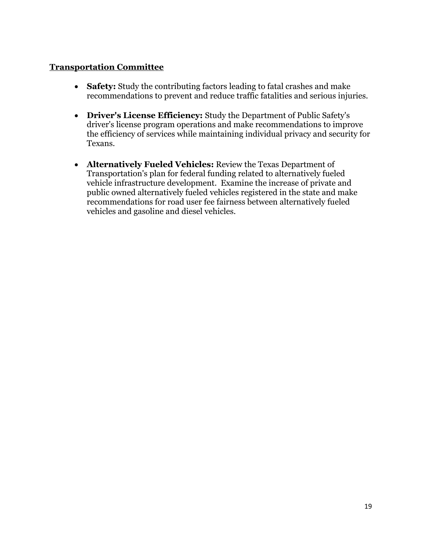#### **Transportation Committee**

- **Safety:** Study the contributing factors leading to fatal crashes and make recommendations to prevent and reduce traffic fatalities and serious injuries.
- **Driver's License Efficiency:** Study the Department of Public Safety's driver's license program operations and make recommendations to improve the efficiency of services while maintaining individual privacy and security for Texans.
- **Alternatively Fueled Vehicles:** Review the Texas Department of Transportation's plan for federal funding related to alternatively fueled vehicle infrastructure development. Examine the increase of private and public owned alternatively fueled vehicles registered in the state and make recommendations for road user fee fairness between alternatively fueled vehicles and gasoline and diesel vehicles.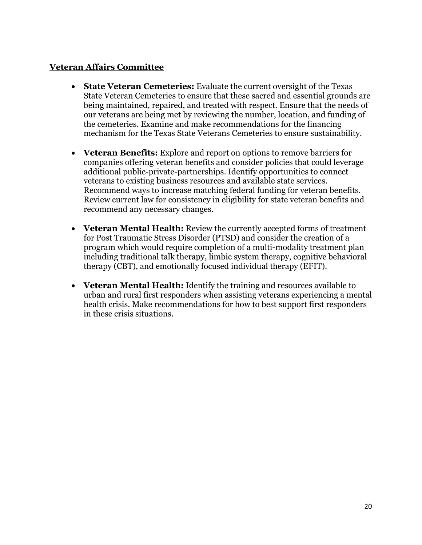#### **Veteran Affairs Committee**

- **State Veteran Cemeteries:** Evaluate the current oversight of the Texas State Veteran Cemeteries to ensure that these sacred and essential grounds are being maintained, repaired, and treated with respect. Ensure that the needs of our veterans are being met by reviewing the number, location, and funding of the cemeteries. Examine and make recommendations for the financing mechanism for the Texas State Veterans Cemeteries to ensure sustainability.
- **Veteran Benefits:** Explore and report on options to remove barriers for companies offering veteran benefits and consider policies that could leverage additional public-private-partnerships. Identify opportunities to connect veterans to existing business resources and available state services. Recommend ways to increase matching federal funding for veteran benefits. Review current law for consistency in eligibility for state veteran benefits and recommend any necessary changes.
- **Veteran Mental Health:** Review the currently accepted forms of treatment for Post Traumatic Stress Disorder (PTSD) and consider the creation of a program which would require completion of a multi-modality treatment plan including traditional talk therapy, limbic system therapy, cognitive behavioral therapy (CBT), and emotionally focused individual therapy (EFIT).
- **Veteran Mental Health:** Identify the training and resources available to urban and rural first responders when assisting veterans experiencing a mental health crisis. Make recommendations for how to best support first responders in these crisis situations.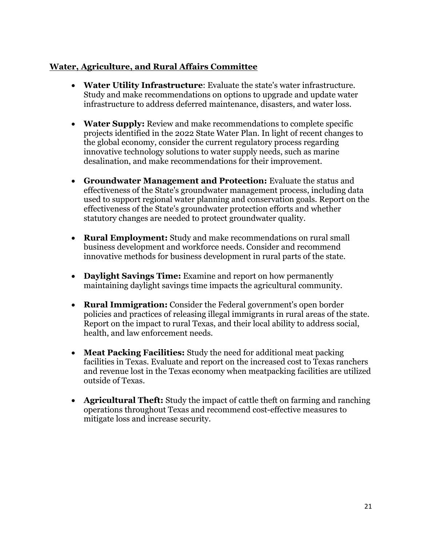#### **Water, Agriculture, and Rural Affairs Committee**

- **Water Utility Infrastructure**: Evaluate the state's water infrastructure. Study and make recommendations on options to upgrade and update water infrastructure to address deferred maintenance, disasters, and water loss.
- **Water Supply:** Review and make recommendations to complete specific projects identified in the 2022 State Water Plan. In light of recent changes to the global economy, consider the current regulatory process regarding innovative technology solutions to water supply needs, such as marine desalination, and make recommendations for their improvement.
- **Groundwater Management and Protection:** Evaluate the status and effectiveness of the State's groundwater management process, including data used to support regional water planning and conservation goals. Report on the effectiveness of the State's groundwater protection efforts and whether statutory changes are needed to protect groundwater quality.
- **Rural Employment:** Study and make recommendations on rural small business development and workforce needs. Consider and recommend innovative methods for business development in rural parts of the state.
- **Daylight Savings Time:** Examine and report on how permanently maintaining daylight savings time impacts the agricultural community.
- **Rural Immigration:** Consider the Federal government's open border policies and practices of releasing illegal immigrants in rural areas of the state. Report on the impact to rural Texas, and their local ability to address social, health, and law enforcement needs.
- **Meat Packing Facilities:** Study the need for additional meat packing facilities in Texas. Evaluate and report on the increased cost to Texas ranchers and revenue lost in the Texas economy when meatpacking facilities are utilized outside of Texas.
- **Agricultural Theft:** Study the impact of cattle theft on farming and ranching operations throughout Texas and recommend cost-effective measures to mitigate loss and increase security.